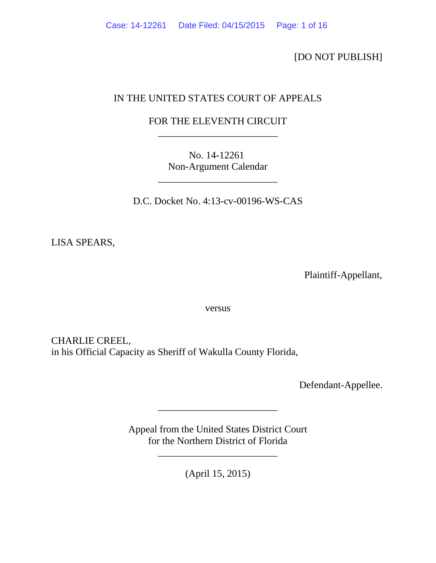[DO NOT PUBLISH]

# IN THE UNITED STATES COURT OF APPEALS

# FOR THE ELEVENTH CIRCUIT \_\_\_\_\_\_\_\_\_\_\_\_\_\_\_\_\_\_\_\_\_\_\_\_

No. 14-12261 Non-Argument Calendar

\_\_\_\_\_\_\_\_\_\_\_\_\_\_\_\_\_\_\_\_\_\_\_\_

D.C. Docket No. 4:13-cv-00196-WS-CAS

LISA SPEARS,

Plaintiff-Appellant,

versus

CHARLIE CREEL, in his Official Capacity as Sheriff of Wakulla County Florida,

Defendant-Appellee.

Appeal from the United States District Court for the Northern District of Florida

\_\_\_\_\_\_\_\_\_\_\_\_\_\_\_\_\_\_\_\_\_\_\_\_

\_\_\_\_\_\_\_\_\_\_\_\_\_\_\_\_\_\_\_\_\_\_\_\_

(April 15, 2015)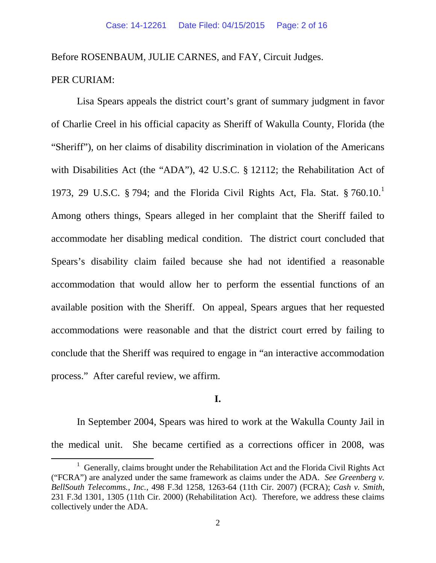Before ROSENBAUM, JULIE CARNES, and FAY, Circuit Judges.

## PER CURIAM:

Lisa Spears appeals the district court's grant of summary judgment in favor of Charlie Creel in his official capacity as Sheriff of Wakulla County, Florida (the "Sheriff"), on her claims of disability discrimination in violation of the Americans with Disabilities Act (the "ADA"), 42 U.S.C. § 12112; the Rehabilitation Act of [1](#page-1-0)973, 29 U.S.C. § 794; and the Florida Civil Rights Act, Fla. Stat. § 760.10.<sup>1</sup> Among others things, Spears alleged in her complaint that the Sheriff failed to accommodate her disabling medical condition. The district court concluded that Spears's disability claim failed because she had not identified a reasonable accommodation that would allow her to perform the essential functions of an available position with the Sheriff. On appeal, Spears argues that her requested accommodations were reasonable and that the district court erred by failing to conclude that the Sheriff was required to engage in "an interactive accommodation process." After careful review, we affirm.

## **I.**

In September 2004, Spears was hired to work at the Wakulla County Jail in the medical unit. She became certified as a corrections officer in 2008, was

<span id="page-1-0"></span><sup>&</sup>lt;sup>1</sup> Generally, claims brought under the Rehabilitation Act and the Florida Civil Rights Act ("FCRA") are analyzed under the same framework as claims under the ADA. *See Greenberg v. BellSouth Telecomms., Inc.*, 498 F.3d 1258, 1263-64 (11th Cir. 2007) (FCRA); *Cash v. Smith*, 231 F.3d 1301, 1305 (11th Cir. 2000) (Rehabilitation Act). Therefore, we address these claims collectively under the ADA.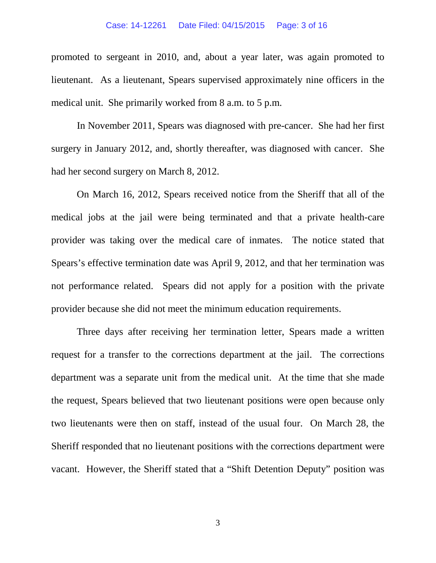promoted to sergeant in 2010, and, about a year later, was again promoted to lieutenant. As a lieutenant, Spears supervised approximately nine officers in the medical unit. She primarily worked from 8 a.m. to 5 p.m.

In November 2011, Spears was diagnosed with pre-cancer. She had her first surgery in January 2012, and, shortly thereafter, was diagnosed with cancer. She had her second surgery on March 8, 2012.

On March 16, 2012, Spears received notice from the Sheriff that all of the medical jobs at the jail were being terminated and that a private health-care provider was taking over the medical care of inmates. The notice stated that Spears's effective termination date was April 9, 2012, and that her termination was not performance related. Spears did not apply for a position with the private provider because she did not meet the minimum education requirements.

Three days after receiving her termination letter, Spears made a written request for a transfer to the corrections department at the jail. The corrections department was a separate unit from the medical unit. At the time that she made the request, Spears believed that two lieutenant positions were open because only two lieutenants were then on staff, instead of the usual four. On March 28, the Sheriff responded that no lieutenant positions with the corrections department were vacant. However, the Sheriff stated that a "Shift Detention Deputy" position was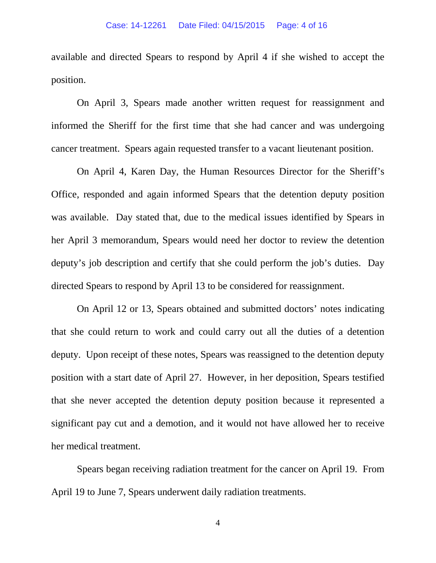available and directed Spears to respond by April 4 if she wished to accept the position.

On April 3, Spears made another written request for reassignment and informed the Sheriff for the first time that she had cancer and was undergoing cancer treatment. Spears again requested transfer to a vacant lieutenant position.

On April 4, Karen Day, the Human Resources Director for the Sheriff's Office, responded and again informed Spears that the detention deputy position was available. Day stated that, due to the medical issues identified by Spears in her April 3 memorandum, Spears would need her doctor to review the detention deputy's job description and certify that she could perform the job's duties. Day directed Spears to respond by April 13 to be considered for reassignment.

On April 12 or 13, Spears obtained and submitted doctors' notes indicating that she could return to work and could carry out all the duties of a detention deputy. Upon receipt of these notes, Spears was reassigned to the detention deputy position with a start date of April 27. However, in her deposition, Spears testified that she never accepted the detention deputy position because it represented a significant pay cut and a demotion, and it would not have allowed her to receive her medical treatment.

Spears began receiving radiation treatment for the cancer on April 19. From April 19 to June 7, Spears underwent daily radiation treatments.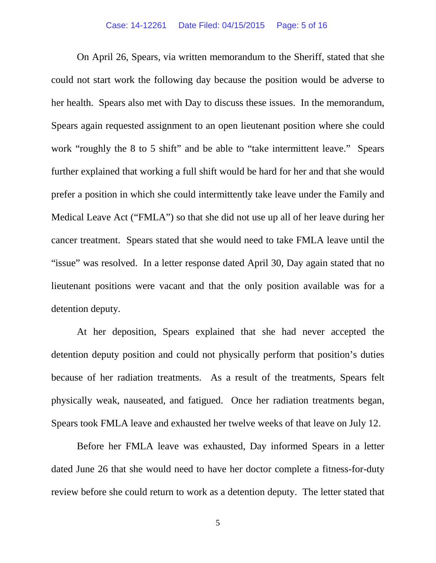#### Case: 14-12261 Date Filed: 04/15/2015 Page: 5 of 16

On April 26, Spears, via written memorandum to the Sheriff, stated that she could not start work the following day because the position would be adverse to her health. Spears also met with Day to discuss these issues. In the memorandum, Spears again requested assignment to an open lieutenant position where she could work "roughly the 8 to 5 shift" and be able to "take intermittent leave." Spears further explained that working a full shift would be hard for her and that she would prefer a position in which she could intermittently take leave under the Family and Medical Leave Act ("FMLA") so that she did not use up all of her leave during her cancer treatment. Spears stated that she would need to take FMLA leave until the "issue" was resolved. In a letter response dated April 30, Day again stated that no lieutenant positions were vacant and that the only position available was for a detention deputy.

At her deposition, Spears explained that she had never accepted the detention deputy position and could not physically perform that position's duties because of her radiation treatments. As a result of the treatments, Spears felt physically weak, nauseated, and fatigued. Once her radiation treatments began, Spears took FMLA leave and exhausted her twelve weeks of that leave on July 12.

Before her FMLA leave was exhausted, Day informed Spears in a letter dated June 26 that she would need to have her doctor complete a fitness-for-duty review before she could return to work as a detention deputy. The letter stated that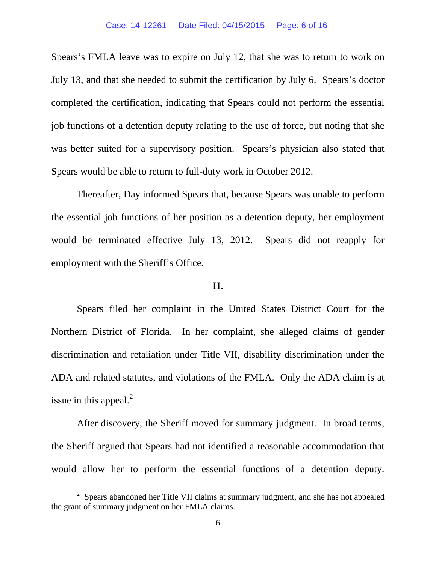Spears's FMLA leave was to expire on July 12, that she was to return to work on July 13, and that she needed to submit the certification by July 6. Spears's doctor completed the certification, indicating that Spears could not perform the essential job functions of a detention deputy relating to the use of force, but noting that she was better suited for a supervisory position. Spears's physician also stated that Spears would be able to return to full-duty work in October 2012.

Thereafter, Day informed Spears that, because Spears was unable to perform the essential job functions of her position as a detention deputy, her employment would be terminated effective July 13, 2012. Spears did not reapply for employment with the Sheriff's Office.

## **II.**

Spears filed her complaint in the United States District Court for the Northern District of Florida. In her complaint, she alleged claims of gender discrimination and retaliation under Title VII, disability discrimination under the ADA and related statutes, and violations of the FMLA. Only the ADA claim is at issue in this appeal. $^{2}$  $^{2}$  $^{2}$ 

After discovery, the Sheriff moved for summary judgment. In broad terms, the Sheriff argued that Spears had not identified a reasonable accommodation that would allow her to perform the essential functions of a detention deputy.

<span id="page-5-0"></span> $\frac{1}{2}$ <sup>2</sup> Spears abandoned her Title VII claims at summary judgment, and she has not appealed the grant of summary judgment on her FMLA claims.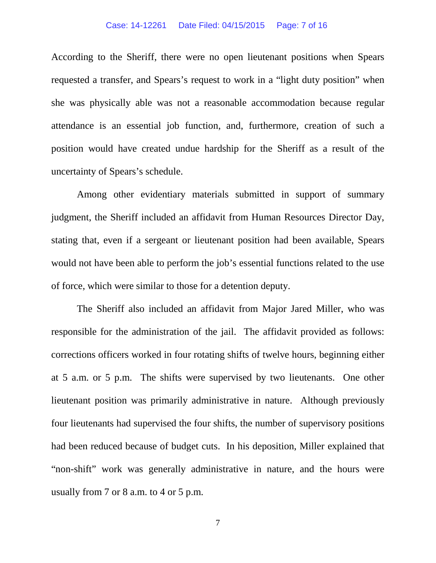#### Case: 14-12261 Date Filed: 04/15/2015 Page: 7 of 16

According to the Sheriff, there were no open lieutenant positions when Spears requested a transfer, and Spears's request to work in a "light duty position" when she was physically able was not a reasonable accommodation because regular attendance is an essential job function, and, furthermore, creation of such a position would have created undue hardship for the Sheriff as a result of the uncertainty of Spears's schedule.

Among other evidentiary materials submitted in support of summary judgment, the Sheriff included an affidavit from Human Resources Director Day, stating that, even if a sergeant or lieutenant position had been available, Spears would not have been able to perform the job's essential functions related to the use of force, which were similar to those for a detention deputy.

The Sheriff also included an affidavit from Major Jared Miller, who was responsible for the administration of the jail. The affidavit provided as follows: corrections officers worked in four rotating shifts of twelve hours, beginning either at 5 a.m. or 5 p.m. The shifts were supervised by two lieutenants. One other lieutenant position was primarily administrative in nature. Although previously four lieutenants had supervised the four shifts, the number of supervisory positions had been reduced because of budget cuts. In his deposition, Miller explained that "non-shift" work was generally administrative in nature, and the hours were usually from 7 or 8 a.m. to 4 or 5 p.m.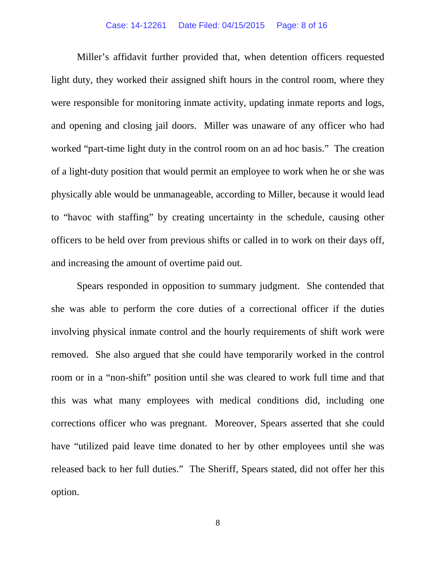### Case: 14-12261 Date Filed: 04/15/2015 Page: 8 of 16

Miller's affidavit further provided that, when detention officers requested light duty, they worked their assigned shift hours in the control room, where they were responsible for monitoring inmate activity, updating inmate reports and logs, and opening and closing jail doors. Miller was unaware of any officer who had worked "part-time light duty in the control room on an ad hoc basis." The creation of a light-duty position that would permit an employee to work when he or she was physically able would be unmanageable, according to Miller, because it would lead to "havoc with staffing" by creating uncertainty in the schedule, causing other officers to be held over from previous shifts or called in to work on their days off, and increasing the amount of overtime paid out.

Spears responded in opposition to summary judgment. She contended that she was able to perform the core duties of a correctional officer if the duties involving physical inmate control and the hourly requirements of shift work were removed. She also argued that she could have temporarily worked in the control room or in a "non-shift" position until she was cleared to work full time and that this was what many employees with medical conditions did, including one corrections officer who was pregnant. Moreover, Spears asserted that she could have "utilized paid leave time donated to her by other employees until she was released back to her full duties." The Sheriff, Spears stated, did not offer her this option.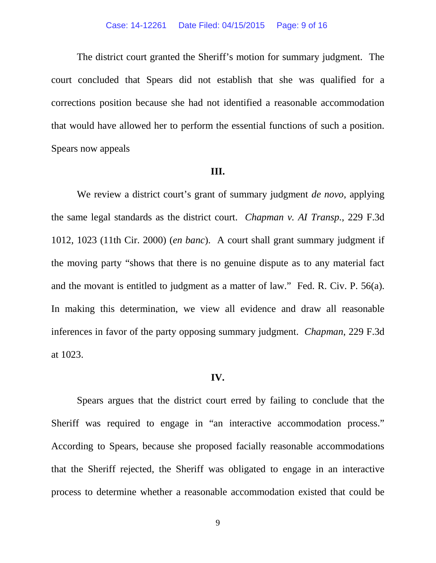The district court granted the Sheriff's motion for summary judgment. The court concluded that Spears did not establish that she was qualified for a corrections position because she had not identified a reasonable accommodation that would have allowed her to perform the essential functions of such a position. Spears now appeals

#### **III.**

We review a district court's grant of summary judgment *de novo*, applying the same legal standards as the district court. *Chapman v. AI Transp.*, 229 F.3d 1012, 1023 (11th Cir. 2000) (*en banc*). A court shall grant summary judgment if the moving party "shows that there is no genuine dispute as to any material fact and the movant is entitled to judgment as a matter of law." Fed. R. Civ. P. 56(a). In making this determination, we view all evidence and draw all reasonable inferences in favor of the party opposing summary judgment. *Chapman*, 229 F.3d at 1023.

### **IV.**

Spears argues that the district court erred by failing to conclude that the Sheriff was required to engage in "an interactive accommodation process." According to Spears, because she proposed facially reasonable accommodations that the Sheriff rejected, the Sheriff was obligated to engage in an interactive process to determine whether a reasonable accommodation existed that could be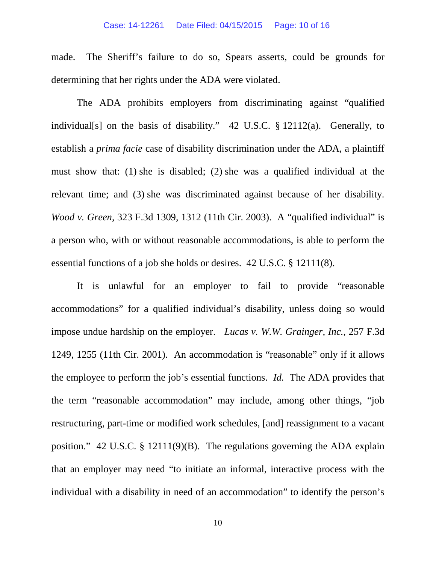#### Case: 14-12261 Date Filed: 04/15/2015 Page: 10 of 16

made. The Sheriff's failure to do so, Spears asserts, could be grounds for determining that her rights under the ADA were violated.

The ADA prohibits employers from discriminating against "qualified individual[s] on the basis of disability." 42 U.S.C. § 12112(a). Generally, to establish a *prima facie* case of disability discrimination under the ADA, a plaintiff must show that: (1) she is disabled; (2) she was a qualified individual at the relevant time; and (3) she was discriminated against because of her disability. *Wood v. Green*, 323 F.3d 1309, 1312 (11th Cir. 2003). A "qualified individual" is a person who, with or without reasonable accommodations, is able to perform the essential functions of a job she holds or desires. 42 U.S.C. § 12111(8).

It is unlawful for an employer to fail to provide "reasonable accommodations" for a qualified individual's disability, unless doing so would impose undue hardship on the employer. *Lucas v. W.W. Grainger, Inc.*, 257 F.3d 1249, 1255 (11th Cir. 2001). An accommodation is "reasonable" only if it allows the employee to perform the job's essential functions. *Id.* The ADA provides that the term "reasonable accommodation" may include, among other things, "job restructuring, part-time or modified work schedules, [and] reassignment to a vacant position." 42 U.S.C. § 12111(9)(B). The regulations governing the ADA explain that an employer may need "to initiate an informal, interactive process with the individual with a disability in need of an accommodation" to identify the person's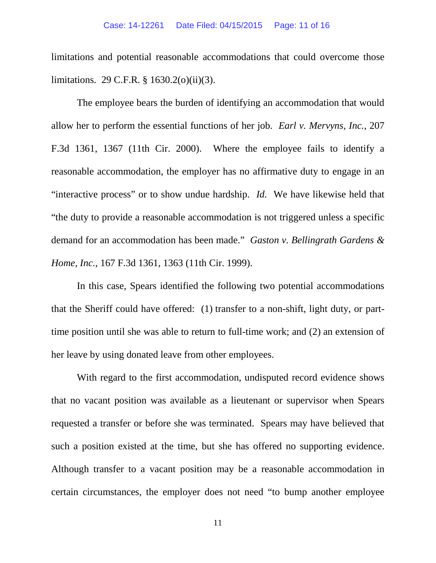limitations and potential reasonable accommodations that could overcome those limitations. 29 C.F.R. § 1630.2(o)(ii)(3).

The employee bears the burden of identifying an accommodation that would allow her to perform the essential functions of her job. *Earl v. Mervyns, Inc.*, 207 F.3d 1361, 1367 (11th Cir. 2000). Where the employee fails to identify a reasonable accommodation, the employer has no affirmative duty to engage in an "interactive process" or to show undue hardship. *Id.* We have likewise held that "the duty to provide a reasonable accommodation is not triggered unless a specific demand for an accommodation has been made." *Gaston v. Bellingrath Gardens & Home, Inc.*, 167 F.3d 1361, 1363 (11th Cir. 1999).

In this case, Spears identified the following two potential accommodations that the Sheriff could have offered: (1) transfer to a non-shift, light duty, or parttime position until she was able to return to full-time work; and (2) an extension of her leave by using donated leave from other employees.

With regard to the first accommodation, undisputed record evidence shows that no vacant position was available as a lieutenant or supervisor when Spears requested a transfer or before she was terminated. Spears may have believed that such a position existed at the time, but she has offered no supporting evidence. Although transfer to a vacant position may be a reasonable accommodation in certain circumstances, the employer does not need "to bump another employee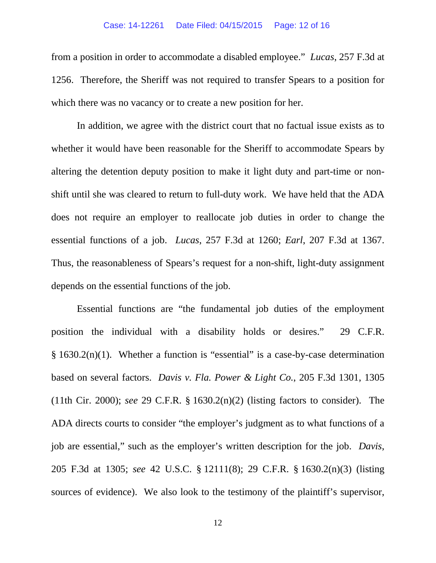#### Case: 14-12261 Date Filed: 04/15/2015 Page: 12 of 16

from a position in order to accommodate a disabled employee." *Lucas*, 257 F.3d at 1256. Therefore, the Sheriff was not required to transfer Spears to a position for which there was no vacancy or to create a new position for her.

In addition, we agree with the district court that no factual issue exists as to whether it would have been reasonable for the Sheriff to accommodate Spears by altering the detention deputy position to make it light duty and part-time or nonshift until she was cleared to return to full-duty work. We have held that the ADA does not require an employer to reallocate job duties in order to change the essential functions of a job. *Lucas*, 257 F.3d at 1260; *Earl*, 207 F.3d at 1367. Thus, the reasonableness of Spears's request for a non-shift, light-duty assignment depends on the essential functions of the job.

Essential functions are "the fundamental job duties of the employment position the individual with a disability holds or desires." 29 C.F.R.  $§ 1630.2(n)(1)$ . Whether a function is "essential" is a case-by-case determination based on several factors. *Davis v. Fla. Power & Light Co.*, 205 F.3d 1301, 1305 (11th Cir. 2000); *see* 29 C.F.R. § 1630.2(n)(2) (listing factors to consider). The ADA directs courts to consider "the employer's judgment as to what functions of a job are essential," such as the employer's written description for the job. *Davis*, 205 F.3d at 1305; *see* 42 U.S.C. § 12111(8); 29 C.F.R. § 1630.2(n)(3) (listing sources of evidence). We also look to the testimony of the plaintiff's supervisor,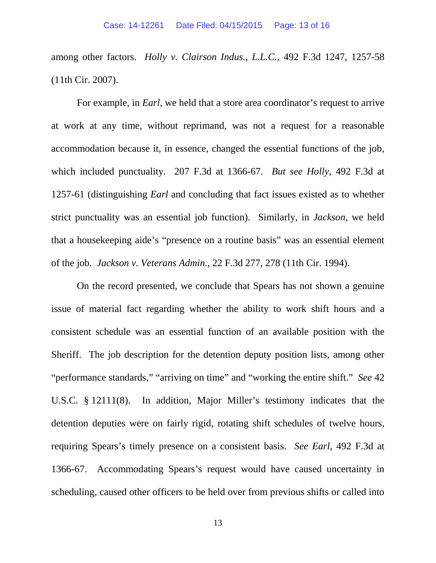among other factors. *Holly v. Clairson Indus., L.L.C.*, 492 F.3d 1247, 1257-58 (11th Cir. 2007).

For example, in *Earl*, we held that a store area coordinator's request to arrive at work at any time, without reprimand, was not a request for a reasonable accommodation because it, in essence, changed the essential functions of the job, which included punctuality. 207 F.3d at 1366-67*. But see Holly*, 492 F.3d at 1257-61 (distinguishing *Earl* and concluding that fact issues existed as to whether strict punctuality was an essential job function). Similarly, in *Jackson*, we held that a housekeeping aide's "presence on a routine basis" was an essential element of the job. *Jackson v. Veterans Admin.*, 22 F.3d 277, 278 (11th Cir. 1994).

On the record presented, we conclude that Spears has not shown a genuine issue of material fact regarding whether the ability to work shift hours and a consistent schedule was an essential function of an available position with the Sheriff. The job description for the detention deputy position lists, among other "performance standards," "arriving on time" and "working the entire shift." *See* 42 U.S.C. § 12111(8). In addition, Major Miller's testimony indicates that the detention deputies were on fairly rigid, rotating shift schedules of twelve hours, requiring Spears's timely presence on a consistent basis. *See Earl*, 492 F.3d at 1366-67. Accommodating Spears's request would have caused uncertainty in scheduling, caused other officers to be held over from previous shifts or called into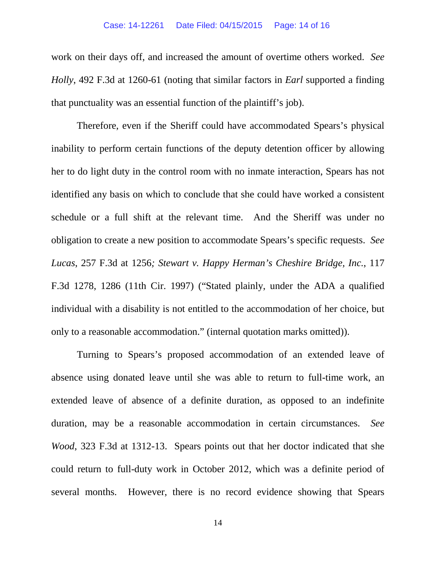work on their days off, and increased the amount of overtime others worked. *See Holly*, 492 F.3d at 1260-61 (noting that similar factors in *Earl* supported a finding that punctuality was an essential function of the plaintiff's job).

Therefore, even if the Sheriff could have accommodated Spears's physical inability to perform certain functions of the deputy detention officer by allowing her to do light duty in the control room with no inmate interaction, Spears has not identified any basis on which to conclude that she could have worked a consistent schedule or a full shift at the relevant time. And the Sheriff was under no obligation to create a new position to accommodate Spears's specific requests. *See Lucas*, 257 F.3d at 1256*; Stewart v. Happy Herman's Cheshire Bridge, Inc.*, 117 F.3d 1278, 1286 (11th Cir. 1997) ("Stated plainly, under the ADA a qualified individual with a disability is not entitled to the accommodation of her choice, but only to a reasonable accommodation." (internal quotation marks omitted)).

Turning to Spears's proposed accommodation of an extended leave of absence using donated leave until she was able to return to full-time work, an extended leave of absence of a definite duration, as opposed to an indefinite duration, may be a reasonable accommodation in certain circumstances. *See Wood*, 323 F.3d at 1312-13. Spears points out that her doctor indicated that she could return to full-duty work in October 2012, which was a definite period of several months. However, there is no record evidence showing that Spears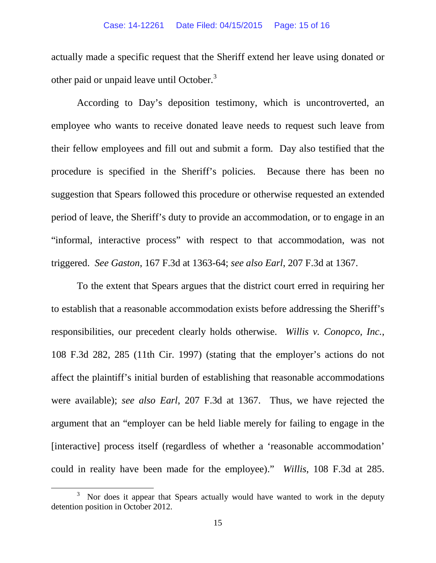actually made a specific request that the Sheriff extend her leave using donated or other paid or unpaid leave until October.<sup>[3](#page-14-0)</sup>

According to Day's deposition testimony, which is uncontroverted, an employee who wants to receive donated leave needs to request such leave from their fellow employees and fill out and submit a form. Day also testified that the procedure is specified in the Sheriff's policies. Because there has been no suggestion that Spears followed this procedure or otherwise requested an extended period of leave, the Sheriff's duty to provide an accommodation, or to engage in an "informal, interactive process" with respect to that accommodation, was not triggered. *See Gaston*, 167 F.3d at 1363-64; *see also Earl*, 207 F.3d at 1367.

To the extent that Spears argues that the district court erred in requiring her to establish that a reasonable accommodation exists before addressing the Sheriff's responsibilities, our precedent clearly holds otherwise. *Willis v. Conopco, Inc.*, 108 F.3d 282, 285 (11th Cir. 1997) (stating that the employer's actions do not affect the plaintiff's initial burden of establishing that reasonable accommodations were available); *see also Earl*, 207 F.3d at 1367. Thus, we have rejected the argument that an "employer can be held liable merely for failing to engage in the [interactive] process itself (regardless of whether a 'reasonable accommodation' could in reality have been made for the employee)." *Willis*, 108 F.3d at 285.

<span id="page-14-0"></span> $\frac{1}{3}$  Nor does it appear that Spears actually would have wanted to work in the deputy detention position in October 2012.